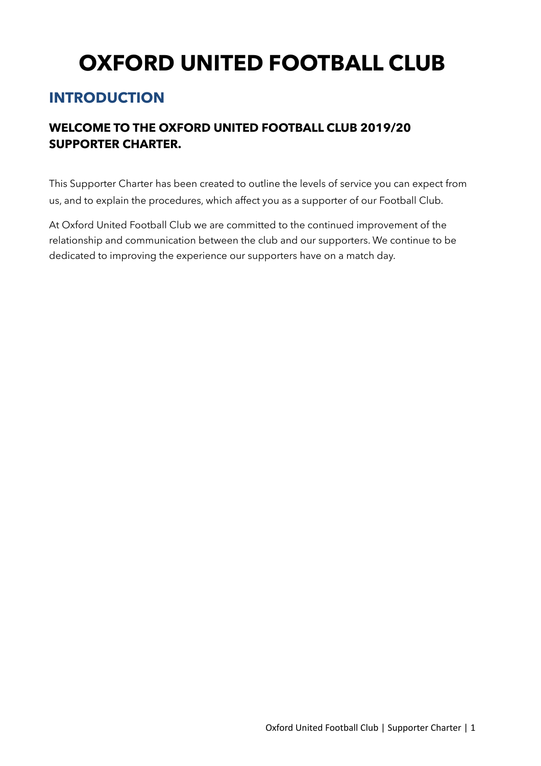# **OXFORD UNITED FOOTBALL CLUB**

## **INTRODUCTION**

## **WELCOME TO THE OXFORD UNITED FOOTBALL CLUB 2019/20 SUPPORTER CHARTER.**

This Supporter Charter has been created to outline the levels of service you can expect from us, and to explain the procedures, which affect you as a supporter of our Football Club.

At Oxford United Football Club we are committed to the continued improvement of the relationship and communication between the club and our supporters. We continue to be dedicated to improving the experience our supporters have on a match day.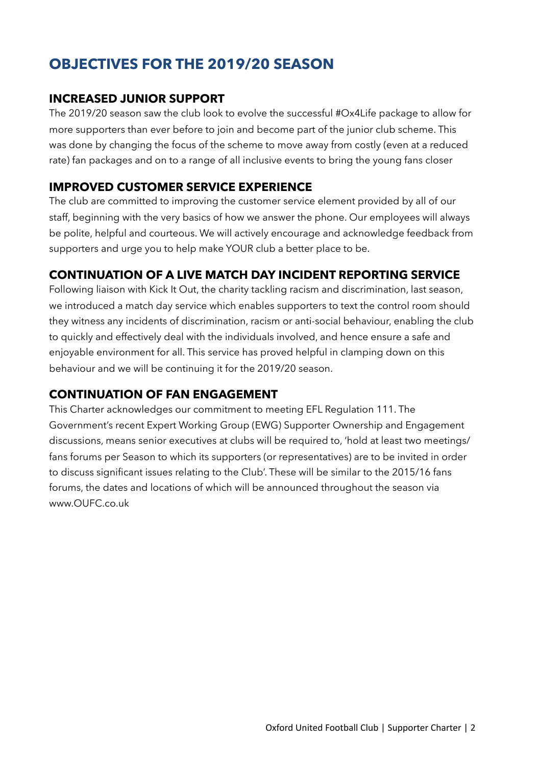## **OBJECTIVES FOR THE 2019/20 SEASON**

### **INCREASED JUNIOR SUPPORT**

The 2019/20 season saw the club look to evolve the successful #Ox4Life package to allow for more supporters than ever before to join and become part of the junior club scheme. This was done by changing the focus of the scheme to move away from costly (even at a reduced rate) fan packages and on to a range of all inclusive events to bring the young fans closer

## **IMPROVED CUSTOMER SERVICE EXPERIENCE**

The club are committed to improving the customer service element provided by all of our staff, beginning with the very basics of how we answer the phone. Our employees will always be polite, helpful and courteous. We will actively encourage and acknowledge feedback from supporters and urge you to help make YOUR club a better place to be.

## **CONTINUATION OF A LIVE MATCH DAY INCIDENT REPORTING SERVICE**

Following liaison with Kick It Out, the charity tackling racism and discrimination, last season, we introduced a match day service which enables supporters to text the control room should they witness any incidents of discrimination, racism or anti-social behaviour, enabling the club to quickly and effectively deal with the individuals involved, and hence ensure a safe and enjoyable environment for all. This service has proved helpful in clamping down on this behaviour and we will be continuing it for the 2019/20 season.

## **CONTINUATION OF FAN ENGAGEMENT**

This Charter acknowledges our commitment to meeting EFL Regulation 111. The Government's recent Expert Working Group (EWG) Supporter Ownership and Engagement discussions, means senior executives at clubs will be required to, 'hold at least two meetings/ fans forums per Season to which its supporters (or representatives) are to be invited in order to discuss significant issues relating to the Club'. These will be similar to the 2015/16 fans forums, the dates and locations of which will be announced throughout the season via www.OUFC.co.uk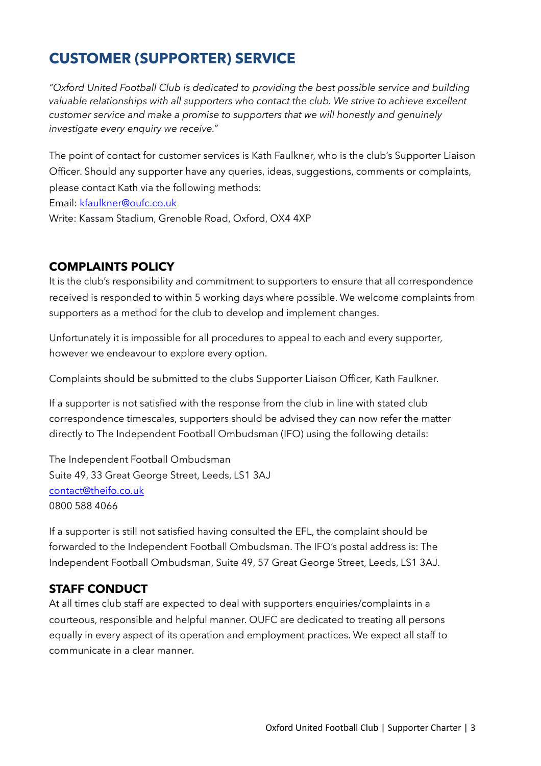## **CUSTOMER (SUPPORTER) SERVICE**

*"Oxford United Football Club is dedicated to providing the best possible service and building valuable relationships with all supporters who contact the club. We strive to achieve excellent customer service and make a promise to supporters that we will honestly and genuinely investigate every enquiry we receive."* 

The point of contact for customer services is Kath Faulkner, who is the club's Supporter Liaison Officer. Should any supporter have any queries, ideas, suggestions, comments or complaints, please contact Kath via the following methods:

Email: [kfaulkner@oufc.co.uk](mailto:kfaulkner@oufc.co.uk)

Write: Kassam Stadium, Grenoble Road, Oxford, OX4 4XP

## **COMPLAINTS POLICY**

It is the club's responsibility and commitment to supporters to ensure that all correspondence received is responded to within 5 working days where possible. We welcome complaints from supporters as a method for the club to develop and implement changes.

Unfortunately it is impossible for all procedures to appeal to each and every supporter, however we endeavour to explore every option.

Complaints should be submitted to the clubs Supporter Liaison Officer, Kath Faulkner.

If a supporter is not satisfied with the response from the club in line with stated club correspondence timescales, supporters should be advised they can now refer the matter directly to The Independent Football Ombudsman (IFO) using the following details:

The Independent Football Ombudsman Suite 49, 33 Great George Street, Leeds, LS1 3AJ [contact@theifo.co.uk](mailto:contact@theifo.co.uk) 0800 588 4066

If a supporter is still not satisfied having consulted the EFL, the complaint should be forwarded to the Independent Football Ombudsman. The IFO's postal address is: The Independent Football Ombudsman, Suite 49, 57 Great George Street, Leeds, LS1 3AJ.

#### **STAFF CONDUCT**

At all times club staff are expected to deal with supporters enquiries/complaints in a courteous, responsible and helpful manner. OUFC are dedicated to treating all persons equally in every aspect of its operation and employment practices. We expect all staff to communicate in a clear manner.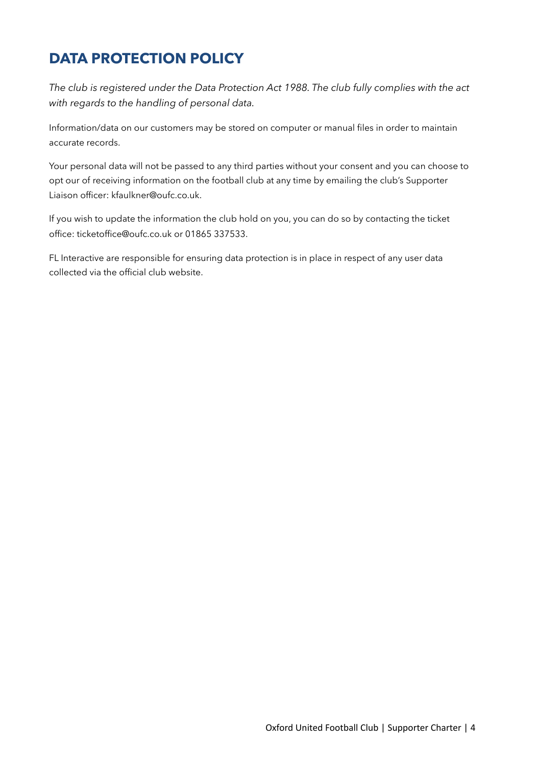## **DATA PROTECTION POLICY**

*The club is registered under the Data Protection Act 1988. The club fully complies with the act with regards to the handling of personal data.* 

Information/data on our customers may be stored on computer or manual files in order to maintain accurate records.

Your personal data will not be passed to any third parties without your consent and you can choose to opt our of receiving information on the football club at any time by emailing the club's Supporter Liaison officer: kfaulkner@oufc.co.uk.

If you wish to update the information the club hold on you, you can do so by contacting the ticket office: ticketoffice@oufc.co.uk or 01865 337533.

FL Interactive are responsible for ensuring data protection is in place in respect of any user data collected via the official club website.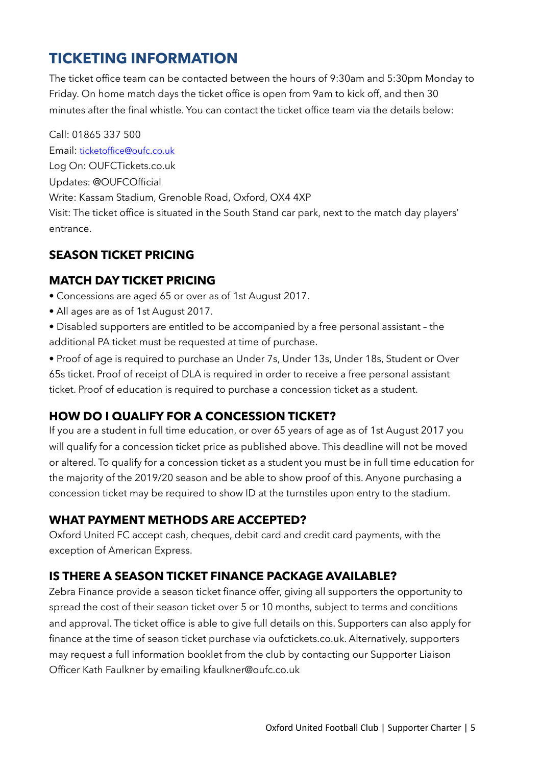## **TICKETING INFORMATION**

The ticket office team can be contacted between the hours of 9:30am and 5:30pm Monday to Friday. On home match days the ticket office is open from 9am to kick off, and then 30 minutes after the final whistle. You can contact the ticket office team via the details below:

Call: 01865 337 500 Email: [ticketoffice@oufc.co.uk](mailto:ticketoffice@oufc.co.uk) Log On: OUFCTickets.co.uk Updates: @OUFCOfficial Write: Kassam Stadium, Grenoble Road, Oxford, OX4 4XP Visit: The ticket office is situated in the South Stand car park, next to the match day players' entrance.

## **SEASON TICKET PRICING**

## **MATCH DAY TICKET PRICING**

- Concessions are aged 65 or over as of 1st August 2017.
- All ages are as of 1st August 2017.
- Disabled supporters are entitled to be accompanied by a free personal assistant the additional PA ticket must be requested at time of purchase.

• Proof of age is required to purchase an Under 7s, Under 13s, Under 18s, Student or Over 65s ticket. Proof of receipt of DLA is required in order to receive a free personal assistant ticket. Proof of education is required to purchase a concession ticket as a student.

## **HOW DO I QUALIFY FOR A CONCESSION TICKET?**

If you are a student in full time education, or over 65 years of age as of 1st August 2017 you will qualify for a concession ticket price as published above. This deadline will not be moved or altered. To qualify for a concession ticket as a student you must be in full time education for the majority of the 2019/20 season and be able to show proof of this. Anyone purchasing a concession ticket may be required to show ID at the turnstiles upon entry to the stadium.

### **WHAT PAYMENT METHODS ARE ACCEPTED?**

Oxford United FC accept cash, cheques, debit card and credit card payments, with the exception of American Express.

### **IS THERE A SEASON TICKET FINANCE PACKAGE AVAILABLE?**

Zebra Finance provide a season ticket finance offer, giving all supporters the opportunity to spread the cost of their season ticket over 5 or 10 months, subject to terms and conditions and approval. The ticket office is able to give full details on this. Supporters can also apply for finance at the time of season ticket purchase via oufctickets.co.uk. Alternatively, supporters may request a full information booklet from the club by contacting our Supporter Liaison Officer Kath Faulkner by emailing kfaulkner@oufc.co.uk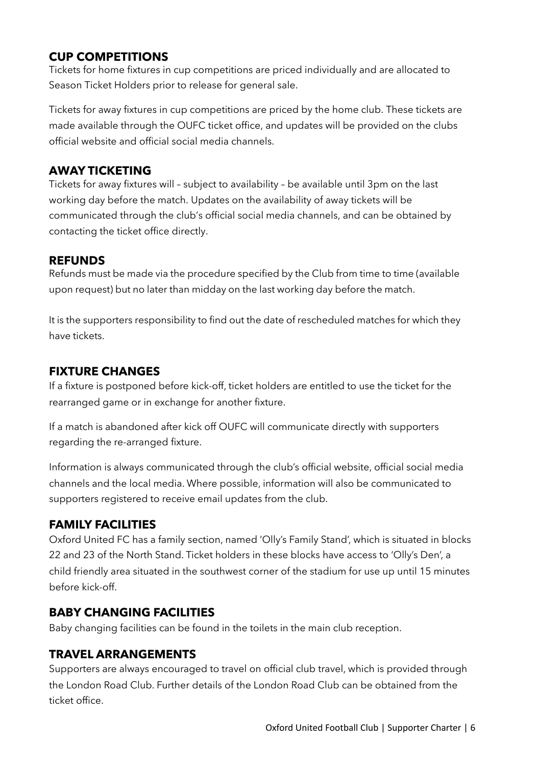## **CUP COMPETITIONS**

Tickets for home fixtures in cup competitions are priced individually and are allocated to Season Ticket Holders prior to release for general sale.

Tickets for away fixtures in cup competitions are priced by the home club. These tickets are made available through the OUFC ticket office, and updates will be provided on the clubs official website and official social media channels.

### **AWAY TICKETING**

Tickets for away fixtures will – subject to availability – be available until 3pm on the last working day before the match. Updates on the availability of away tickets will be communicated through the club's official social media channels, and can be obtained by contacting the ticket office directly.

### **REFUNDS**

Refunds must be made via the procedure specified by the Club from time to time (available upon request) but no later than midday on the last working day before the match.

It is the supporters responsibility to find out the date of rescheduled matches for which they have tickets.

## **FIXTURE CHANGES**

If a fixture is postponed before kick-off, ticket holders are entitled to use the ticket for the rearranged game or in exchange for another fixture.

If a match is abandoned after kick off OUFC will communicate directly with supporters regarding the re-arranged fixture.

Information is always communicated through the club's official website, official social media channels and the local media. Where possible, information will also be communicated to supporters registered to receive email updates from the club.

## **FAMILY FACILITIES**

Oxford United FC has a family section, named 'Olly's Family Stand', which is situated in blocks 22 and 23 of the North Stand. Ticket holders in these blocks have access to 'Olly's Den', a child friendly area situated in the southwest corner of the stadium for use up until 15 minutes before kick-off.

### **BABY CHANGING FACILITIES**

Baby changing facilities can be found in the toilets in the main club reception.

### **TRAVEL ARRANGEMENTS**

Supporters are always encouraged to travel on official club travel, which is provided through the London Road Club. Further details of the London Road Club can be obtained from the ticket office.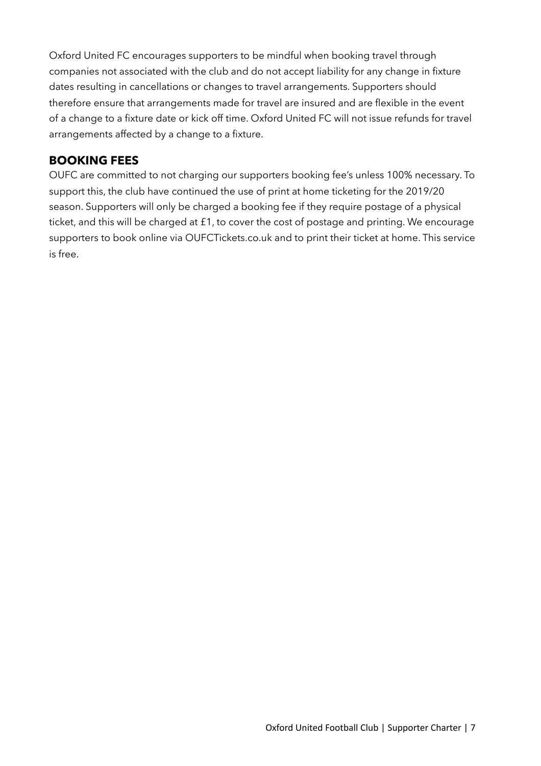Oxford United FC encourages supporters to be mindful when booking travel through companies not associated with the club and do not accept liability for any change in fixture dates resulting in cancellations or changes to travel arrangements. Supporters should therefore ensure that arrangements made for travel are insured and are flexible in the event of a change to a fixture date or kick off time. Oxford United FC will not issue refunds for travel arrangements affected by a change to a fixture.

### **BOOKING FEES**

OUFC are committed to not charging our supporters booking fee's unless 100% necessary. To support this, the club have continued the use of print at home ticketing for the 2019/20 season. Supporters will only be charged a booking fee if they require postage of a physical ticket, and this will be charged at £1, to cover the cost of postage and printing. We encourage supporters to book online via OUFCTickets.co.uk and to print their ticket at home. This service is free.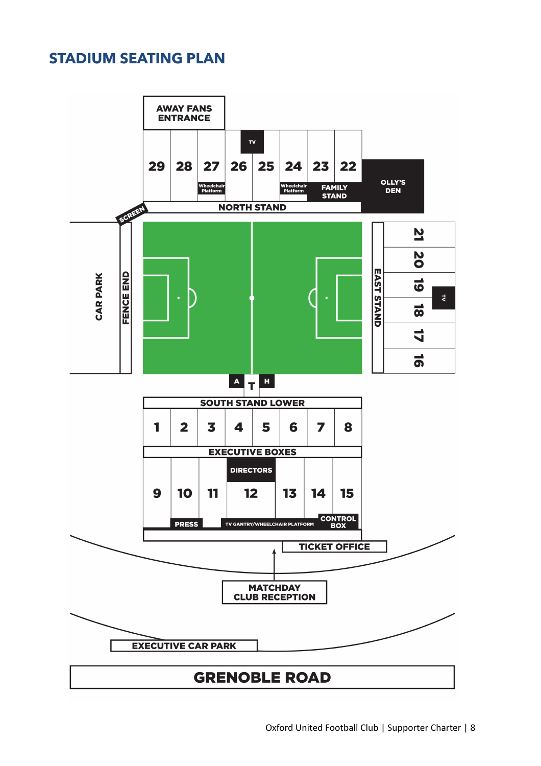## **STADIUM SEATING PLAN**

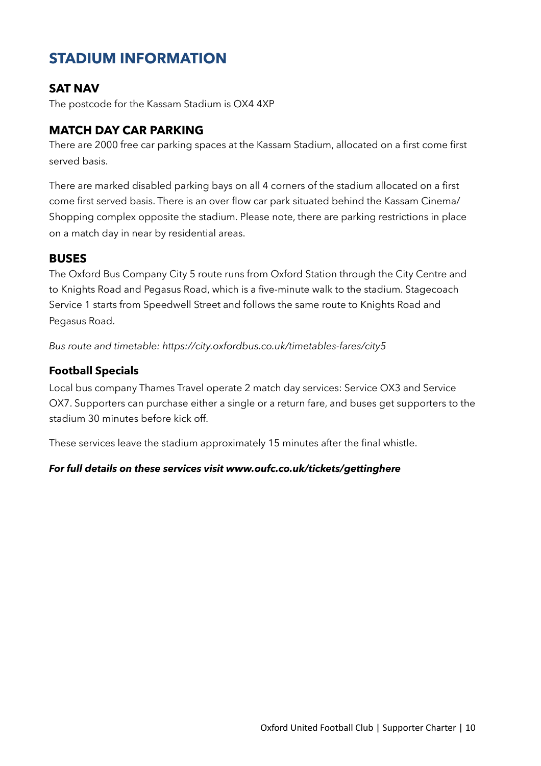## **STADIUM INFORMATION**

### **SAT NAV**

The postcode for the Kassam Stadium is OX4 4XP

### **MATCH DAY CAR PARKING**

There are 2000 free car parking spaces at the Kassam Stadium, allocated on a first come first served basis.

There are marked disabled parking bays on all 4 corners of the stadium allocated on a first come first served basis. There is an over flow car park situated behind the Kassam Cinema/ Shopping complex opposite the stadium. Please note, there are parking restrictions in place on a match day in near by residential areas.

#### **BUSES**

The Oxford Bus Company City 5 route runs from Oxford Station through the City Centre and to Knights Road and Pegasus Road, which is a five-minute walk to the stadium. Stagecoach Service 1 starts from Speedwell Street and follows the same route to Knights Road and Pegasus Road.

*Bus route and timetable: https://city.oxfordbus.co.uk/timetables-fares/city5* 

#### **Football Specials**

Local bus company Thames Travel operate 2 match day services: Service OX3 and Service OX7. Supporters can purchase either a single or a return fare, and buses get supporters to the stadium 30 minutes before kick off.

These services leave the stadium approximately 15 minutes after the final whistle.

#### *For full details on these services visit www.oufc.co.uk/tickets/gettinghere*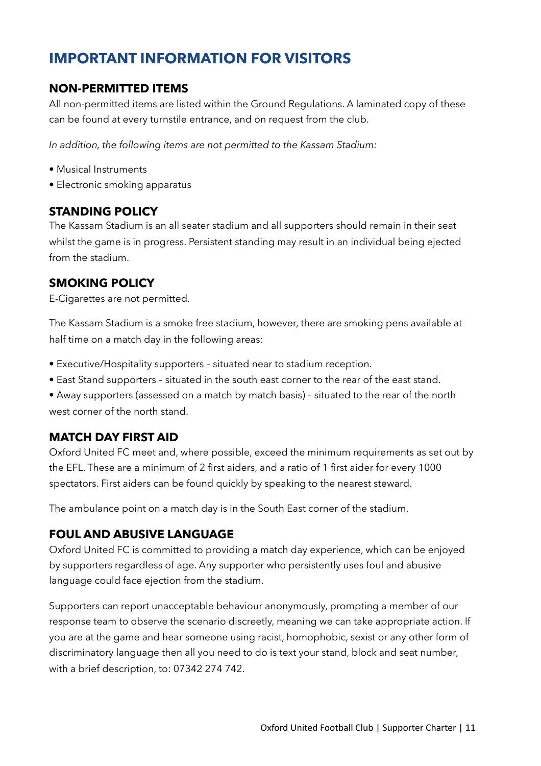## **IMPORTANT INFORMATION FOR VISITORS**

### **NON-PERMITTED ITEMS**

All non-permitted items are listed within the Ground Regulations. A laminated copy of these can be found at every turnstile entrance, and on request from the club.

*In addition, the following items are not permitted to the Kassam Stadium:* 

- Musical Instruments
- Electronic smoking apparatus

#### **STANDING POLICY**

The Kassam Stadium is an all seater stadium and all supporters should remain in their seat whilst the game is in progress. Persistent standing may result in an individual being ejected from the stadium.

## **SMOKING POLICY**

E-Cigarettes are not permitted.

The Kassam Stadium is a smoke free stadium, however, there are smoking pens available at half time on a match day in the following areas:

- Executive/Hospitality supporters situated near to stadium reception.
- East Stand supporters situated in the south east corner to the rear of the east stand.
- Away supporters (assessed on a match by match basis) situated to the rear of the north west corner of the north stand.

### **MATCH DAY FIRST AID**

Oxford United FC meet and, where possible, exceed the minimum requirements as set out by the EFL. These are a minimum of 2 first aiders, and a ratio of 1 first aider for every 1000 spectators. First aiders can be found quickly by speaking to the nearest steward.

The ambulance point on a match day is in the South East corner of the stadium.

### **FOUL AND ABUSIVE LANGUAGE**

Oxford United FC is committed to providing a match day experience, which can be enjoyed by supporters regardless of age. Any supporter who persistently uses foul and abusive language could face ejection from the stadium.

Supporters can report unacceptable behaviour anonymously, prompting a member of our response team to observe the scenario discreetly, meaning we can take appropriate action. If you are at the game and hear someone using racist, homophobic, sexist or any other form of discriminatory language then all you need to do is text your stand, block and seat number, with a brief description, to: 07342 274 742.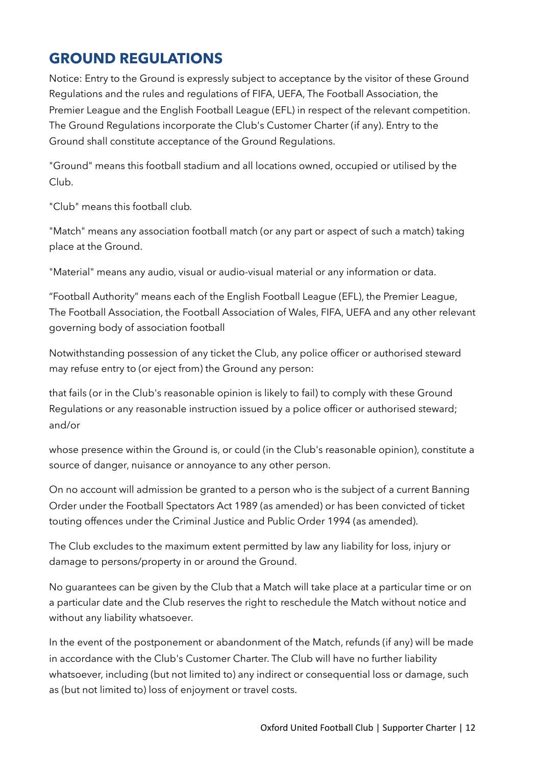## **GROUND REGULATIONS**

Notice: Entry to the Ground is expressly subject to acceptance by the visitor of these Ground Regulations and the rules and regulations of FIFA, UEFA, The Football Association, the Premier League and the English Football League (EFL) in respect of the relevant competition. The Ground Regulations incorporate the Club's Customer Charter (if any). Entry to the Ground shall constitute acceptance of the Ground Regulations.

"Ground" means this football stadium and all locations owned, occupied or utilised by the Club.

"Club" means this football club*.*

"Match" means any association football match (or any part or aspect of such a match) taking place at the Ground.

"Material" means any audio, visual or audio-visual material or any information or data.

"Football Authority" means each of the English Football League (EFL), the Premier League, The Football Association, the Football Association of Wales, FIFA, UEFA and any other relevant governing body of association football

Notwithstanding possession of any ticket the Club, any police officer or authorised steward may refuse entry to (or eject from) the Ground any person:

that fails (or in the Club's reasonable opinion is likely to fail) to comply with these Ground Regulations or any reasonable instruction issued by a police officer or authorised steward; and/or

whose presence within the Ground is, or could (in the Club's reasonable opinion), constitute a source of danger, nuisance or annoyance to any other person.

On no account will admission be granted to a person who is the subject of a current Banning Order under the Football Spectators Act 1989 (as amended) or has been convicted of ticket touting offences under the Criminal Justice and Public Order 1994 (as amended).

The Club excludes to the maximum extent permitted by law any liability for loss, injury or damage to persons/property in or around the Ground.

No guarantees can be given by the Club that a Match will take place at a particular time or on a particular date and the Club reserves the right to reschedule the Match without notice and without any liability whatsoever.

In the event of the postponement or abandonment of the Match, refunds (if any) will be made in accordance with the Club's Customer Charter. The Club will have no further liability whatsoever, including (but not limited to) any indirect or consequential loss or damage, such as (but not limited to) loss of enjoyment or travel costs.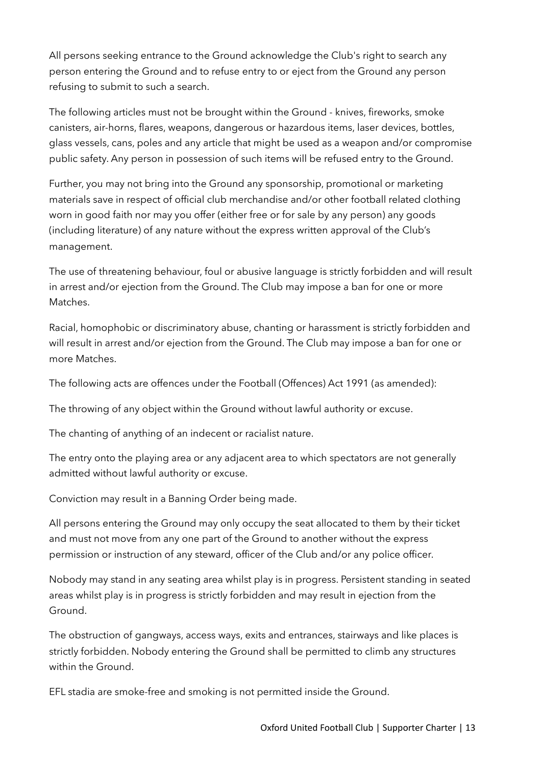All persons seeking entrance to the Ground acknowledge the Club's right to search any person entering the Ground and to refuse entry to or eject from the Ground any person refusing to submit to such a search.

The following articles must not be brought within the Ground - knives, fireworks, smoke canisters, air-horns, flares, weapons, dangerous or hazardous items, laser devices, bottles, glass vessels, cans, poles and any article that might be used as a weapon and/or compromise public safety. Any person in possession of such items will be refused entry to the Ground.

Further, you may not bring into the Ground any sponsorship, promotional or marketing materials save in respect of official club merchandise and/or other football related clothing worn in good faith nor may you offer (either free or for sale by any person) any goods (including literature) of any nature without the express written approval of the Club's management.

The use of threatening behaviour, foul or abusive language is strictly forbidden and will result in arrest and/or ejection from the Ground. The Club may impose a ban for one or more Matches.

Racial, homophobic or discriminatory abuse, chanting or harassment is strictly forbidden and will result in arrest and/or ejection from the Ground. The Club may impose a ban for one or more Matches.

The following acts are offences under the Football (Offences) Act 1991 (as amended):

The throwing of any object within the Ground without lawful authority or excuse.

The chanting of anything of an indecent or racialist nature.

The entry onto the playing area or any adjacent area to which spectators are not generally admitted without lawful authority or excuse.

Conviction may result in a Banning Order being made.

All persons entering the Ground may only occupy the seat allocated to them by their ticket and must not move from any one part of the Ground to another without the express permission or instruction of any steward, officer of the Club and/or any police officer.

Nobody may stand in any seating area whilst play is in progress. Persistent standing in seated areas whilst play is in progress is strictly forbidden and may result in ejection from the Ground.

The obstruction of gangways, access ways, exits and entrances, stairways and like places is strictly forbidden. Nobody entering the Ground shall be permitted to climb any structures within the Ground.

EFL stadia are smoke-free and smoking is not permitted inside the Ground.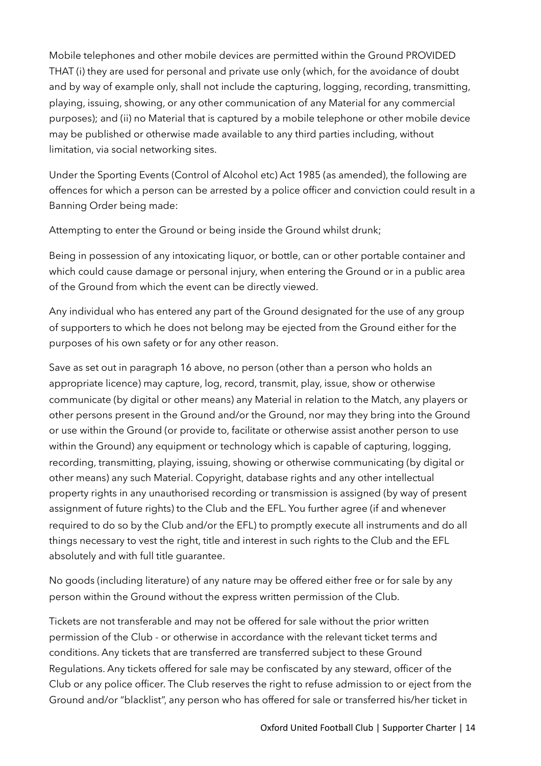Mobile telephones and other mobile devices are permitted within the Ground PROVIDED THAT (i) they are used for personal and private use only (which, for the avoidance of doubt and by way of example only, shall not include the capturing, logging, recording, transmitting, playing, issuing, showing, or any other communication of any Material for any commercial purposes); and (ii) no Material that is captured by a mobile telephone or other mobile device may be published or otherwise made available to any third parties including, without limitation, via social networking sites.

Under the Sporting Events (Control of Alcohol etc) Act 1985 (as amended), the following are offences for which a person can be arrested by a police officer and conviction could result in a Banning Order being made:

Attempting to enter the Ground or being inside the Ground whilst drunk;

Being in possession of any intoxicating liquor, or bottle, can or other portable container and which could cause damage or personal injury, when entering the Ground or in a public area of the Ground from which the event can be directly viewed.

Any individual who has entered any part of the Ground designated for the use of any group of supporters to which he does not belong may be ejected from the Ground either for the purposes of his own safety or for any other reason.

Save as set out in paragraph 16 above, no person (other than a person who holds an appropriate licence) may capture, log, record, transmit, play, issue, show or otherwise communicate (by digital or other means) any Material in relation to the Match, any players or other persons present in the Ground and/or the Ground, nor may they bring into the Ground or use within the Ground (or provide to, facilitate or otherwise assist another person to use within the Ground) any equipment or technology which is capable of capturing, logging, recording, transmitting, playing, issuing, showing or otherwise communicating (by digital or other means) any such Material. Copyright, database rights and any other intellectual property rights in any unauthorised recording or transmission is assigned (by way of present assignment of future rights) to the Club and the EFL. You further agree (if and whenever required to do so by the Club and/or the EFL) to promptly execute all instruments and do all things necessary to vest the right, title and interest in such rights to the Club and the EFL absolutely and with full title guarantee.

No goods (including literature) of any nature may be offered either free or for sale by any person within the Ground without the express written permission of the Club.

Tickets are not transferable and may not be offered for sale without the prior written permission of the Club - or otherwise in accordance with the relevant ticket terms and conditions. Any tickets that are transferred are transferred subject to these Ground Regulations. Any tickets offered for sale may be confiscated by any steward, officer of the Club or any police officer. The Club reserves the right to refuse admission to or eject from the Ground and/or "blacklist", any person who has offered for sale or transferred his/her ticket in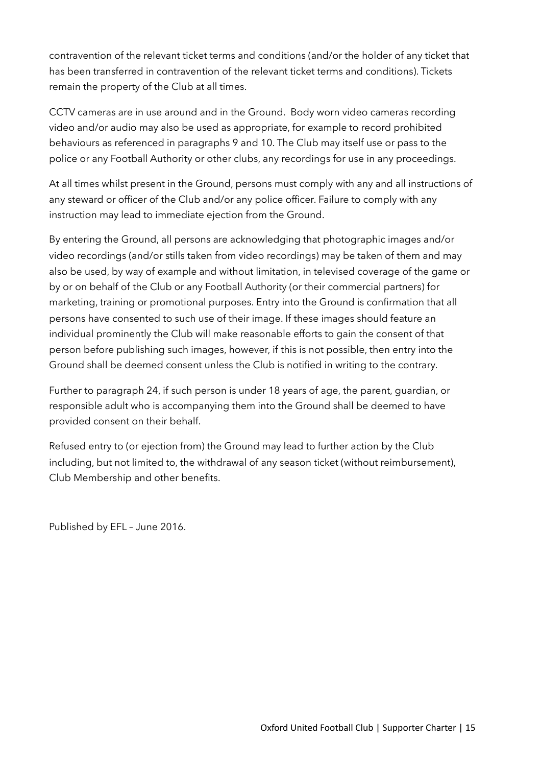contravention of the relevant ticket terms and conditions (and/or the holder of any ticket that has been transferred in contravention of the relevant ticket terms and conditions). Tickets remain the property of the Club at all times.

CCTV cameras are in use around and in the Ground. Body worn video cameras recording video and/or audio may also be used as appropriate, for example to record prohibited behaviours as referenced in paragraphs 9 and 10. The Club may itself use or pass to the police or any Football Authority or other clubs, any recordings for use in any proceedings.

At all times whilst present in the Ground, persons must comply with any and all instructions of any steward or officer of the Club and/or any police officer. Failure to comply with any instruction may lead to immediate ejection from the Ground.

By entering the Ground, all persons are acknowledging that photographic images and/or video recordings (and/or stills taken from video recordings) may be taken of them and may also be used, by way of example and without limitation, in televised coverage of the game or by or on behalf of the Club or any Football Authority (or their commercial partners) for marketing, training or promotional purposes. Entry into the Ground is confirmation that all persons have consented to such use of their image. If these images should feature an individual prominently the Club will make reasonable efforts to gain the consent of that person before publishing such images, however, if this is not possible, then entry into the Ground shall be deemed consent unless the Club is notified in writing to the contrary.

Further to paragraph 24, if such person is under 18 years of age, the parent, guardian, or responsible adult who is accompanying them into the Ground shall be deemed to have provided consent on their behalf.

Refused entry to (or ejection from) the Ground may lead to further action by the Club including, but not limited to, the withdrawal of any season ticket (without reimbursement), Club Membership and other benefits.

Published by EFL – June 2016.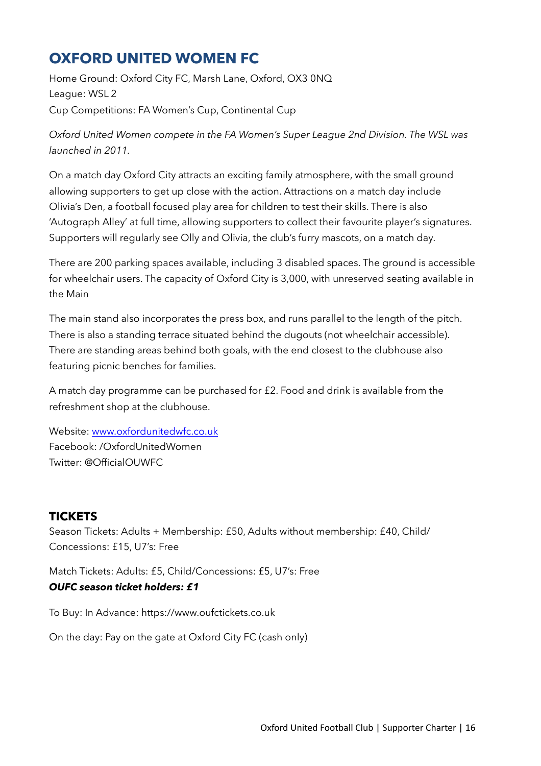## **OXFORD UNITED WOMEN FC**

Home Ground: Oxford City FC, Marsh Lane, Oxford, OX3 0NQ League: WSL 2 Cup Competitions: FA Women's Cup, Continental Cup

*Oxford United Women compete in the FA Women's Super League 2nd Division. The WSL was launched in 2011.*

On a match day Oxford City attracts an exciting family atmosphere, with the small ground allowing supporters to get up close with the action. Attractions on a match day include Olivia's Den, a football focused play area for children to test their skills. There is also 'Autograph Alley' at full time, allowing supporters to collect their favourite player's signatures. Supporters will regularly see Olly and Olivia, the club's furry mascots, on a match day.

There are 200 parking spaces available, including 3 disabled spaces. The ground is accessible for wheelchair users. The capacity of Oxford City is 3,000, with unreserved seating available in the Main

The main stand also incorporates the press box, and runs parallel to the length of the pitch. There is also a standing terrace situated behind the dugouts (not wheelchair accessible). There are standing areas behind both goals, with the end closest to the clubhouse also featuring picnic benches for families.

A match day programme can be purchased for £2. Food and drink is available from the refreshment shop at the clubhouse.

Website: [www.oxfordunitedwfc.co.uk](http://www.oxfordunitedwfc.co.uk) Facebook: /OxfordUnitedWomen Twitter: @OfficialOUWFC

## **TICKETS**

Season Tickets: Adults + Membership: £50, Adults without membership: £40, Child/ Concessions: £15, U7's: Free

Match Tickets: Adults: £5, Child/Concessions: £5, U7's: Free *OUFC season ticket holders: £1*

To Buy: In Advance: https://www.oufctickets.co.uk

On the day: Pay on the gate at Oxford City FC (cash only)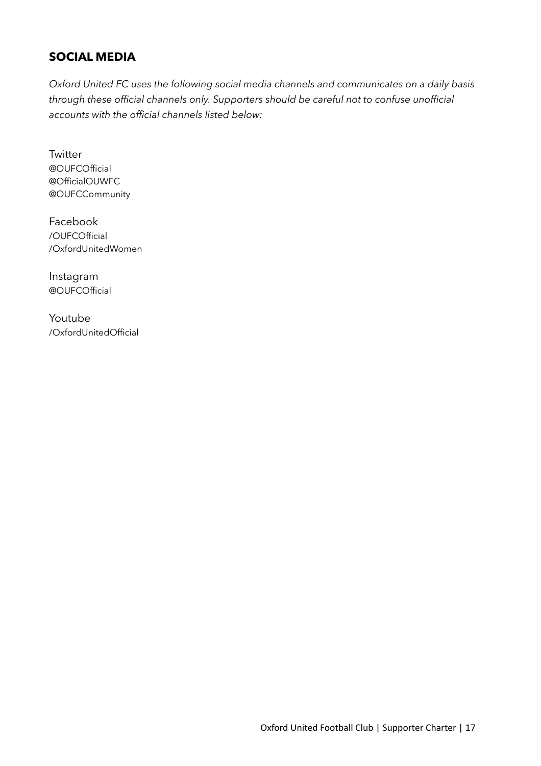## **SOCIAL MEDIA**

*Oxford United FC uses the following social media channels and communicates on a daily basis through these official channels only. Supporters should be careful not to confuse unofficial accounts with the official channels listed below:* 

**Twitter** @OUFCOfficial @OfficialOUWFC @OUFCCommunity

Facebook /OUFCOfficial /OxfordUnitedWomen

Instagram @OUFCOfficial

Youtube /OxfordUnitedOfficial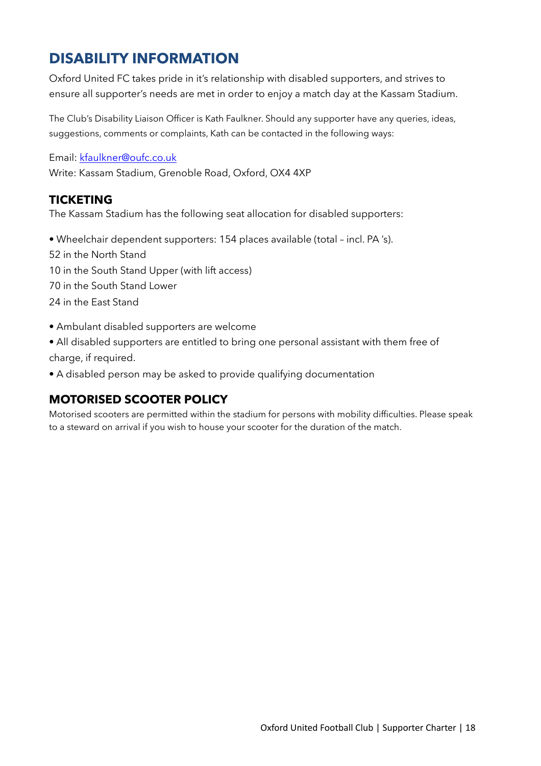## **DISABILITY INFORMATION**

Oxford United FC takes pride in it's relationship with disabled supporters, and strives to ensure all supporter's needs are met in order to enjoy a match day at the Kassam Stadium.

The Club's Disability Liaison Officer is Kath Faulkner. Should any supporter have any queries, ideas, suggestions, comments or complaints, Kath can be contacted in the following ways:

Email: [kfaulkner@oufc.co.uk](mailto:kfaulkner@oufc.co.uk)

Write: Kassam Stadium, Grenoble Road, Oxford, OX4 4XP

### **TICKETING**

The Kassam Stadium has the following seat allocation for disabled supporters:

• Wheelchair dependent supporters: 154 places available (total – incl. PA 's). 52 in the North Stand 10 in the South Stand Upper (with lift access) 70 in the South Stand Lower 24 in the East Stand

- Ambulant disabled supporters are welcome
- All disabled supporters are entitled to bring one personal assistant with them free of charge, if required.

• A disabled person may be asked to provide qualifying documentation

### **MOTORISED SCOOTER POLICY**

Motorised scooters are permitted within the stadium for persons with mobility difficulties. Please speak to a steward on arrival if you wish to house your scooter for the duration of the match.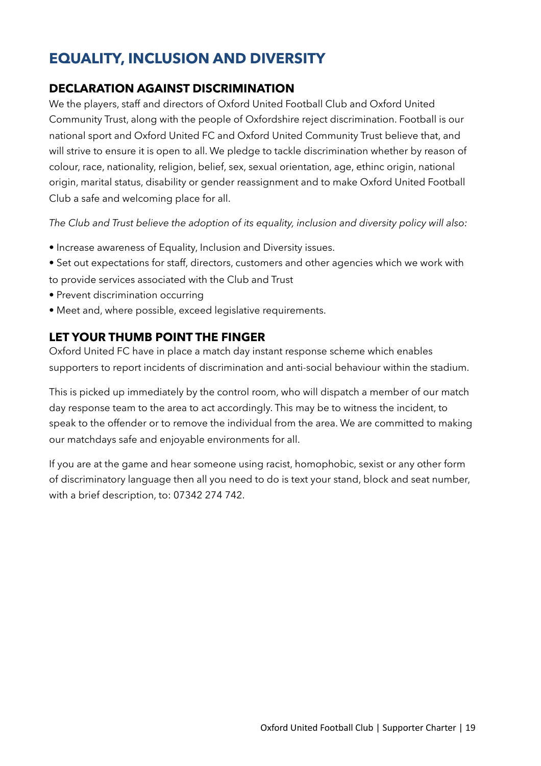## **EQUALITY, INCLUSION AND DIVERSITY**

### **DECLARATION AGAINST DISCRIMINATION**

We the players, staff and directors of Oxford United Football Club and Oxford United Community Trust, along with the people of Oxfordshire reject discrimination. Football is our national sport and Oxford United FC and Oxford United Community Trust believe that, and will strive to ensure it is open to all. We pledge to tackle discrimination whether by reason of colour, race, nationality, religion, belief, sex, sexual orientation, age, ethinc origin, national origin, marital status, disability or gender reassignment and to make Oxford United Football Club a safe and welcoming place for all.

*The Club and Trust believe the adoption of its equality, inclusion and diversity policy will also:* 

- Increase awareness of Equality, Inclusion and Diversity issues.
- Set out expectations for staff, directors, customers and other agencies which we work with to provide services associated with the Club and Trust
- Prevent discrimination occurring
- Meet and, where possible, exceed legislative requirements.

## **LET YOUR THUMB POINT THE FINGER**

Oxford United FC have in place a match day instant response scheme which enables supporters to report incidents of discrimination and anti-social behaviour within the stadium.

This is picked up immediately by the control room, who will dispatch a member of our match day response team to the area to act accordingly. This may be to witness the incident, to speak to the offender or to remove the individual from the area. We are committed to making our matchdays safe and enjoyable environments for all.

If you are at the game and hear someone using racist, homophobic, sexist or any other form of discriminatory language then all you need to do is text your stand, block and seat number, with a brief description, to: 07342 274 742.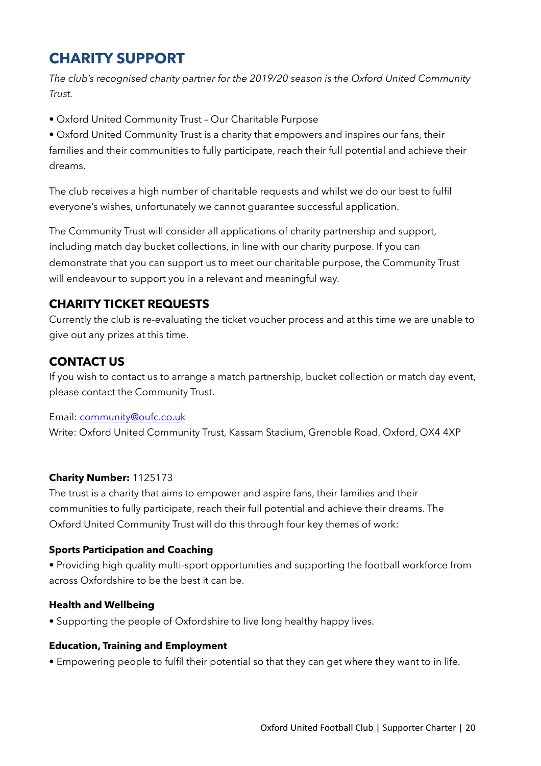## **CHARITY SUPPORT**

*The club's recognised charity partner for the 2019/20 season is the Oxford United Community Trust.* 

• Oxford United Community Trust – Our Charitable Purpose

• Oxford United Community Trust is a charity that empowers and inspires our fans, their families and their communities to fully participate, reach their full potential and achieve their dreams.

The club receives a high number of charitable requests and whilst we do our best to fulfil everyone's wishes, unfortunately we cannot guarantee successful application.

The Community Trust will consider all applications of charity partnership and support, including match day bucket collections, in line with our charity purpose. If you can demonstrate that you can support us to meet our charitable purpose, the Community Trust will endeavour to support you in a relevant and meaningful way.

## **CHARITY TICKET REQUESTS**

Currently the club is re-evaluating the ticket voucher process and at this time we are unable to give out any prizes at this time.

## **CONTACT US**

If you wish to contact us to arrange a match partnership, bucket collection or match day event, please contact the Community Trust.

#### Email: [community@oufc.co.uk](mailto:community@oufc.co.uk)

Write: Oxford United Community Trust, Kassam Stadium, Grenoble Road, Oxford, OX4 4XP

#### **Charity Number:** 1125173

The trust is a charity that aims to empower and aspire fans, their families and their communities to fully participate, reach their full potential and achieve their dreams. The Oxford United Community Trust will do this through four key themes of work:

#### **Sports Participation and Coaching**

• Providing high quality multi-sport opportunities and supporting the football workforce from across Oxfordshire to be the best it can be.

#### **Health and Wellbeing**

• Supporting the people of Oxfordshire to live long healthy happy lives.

#### **Education, Training and Employment**

• Empowering people to fulfil their potential so that they can get where they want to in life.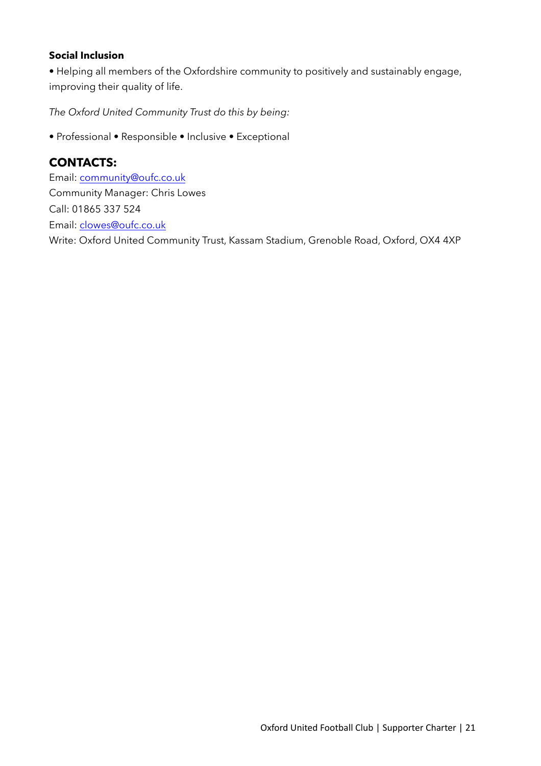#### **Social Inclusion**

• Helping all members of the Oxfordshire community to positively and sustainably engage, improving their quality of life.

*The Oxford United Community Trust do this by being:* 

• Professional • Responsible • Inclusive • Exceptional

#### **CONTACTS:**

Email: [community@oufc.co.uk](mailto:community@oufc.co.uk) Community Manager: Chris Lowes Call: 01865 337 524 Email: [clowes@oufc.co.uk](mailto:clowes@oufc.co.uk) Write: Oxford United Community Trust, Kassam Stadium, Grenoble Road, Oxford, OX4 4XP